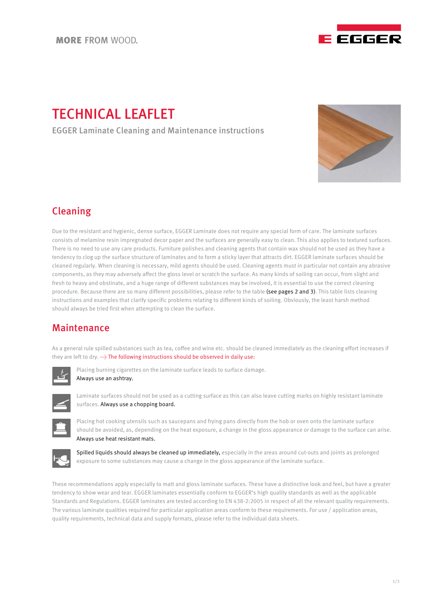

# TECHNICAL LEAFLET

EGGER Laminate Cleaning and Maintenance instructions



## Cleaning

Due to the resistant and hygienic, dense surface, EGGER Laminate does not require any special form of care. The laminate surfaces consists of melamine resin impregnated decor paper and the surfaces are generally easy to clean. This also applies to textured surfaces. There is no need to use any care products. Furniture polishes and cleaning agents that contain wax should not be used as they have a tendency to clog up the surface structure of laminates and to form a sticky layer that attracts dirt. EGGER laminate surfaces should be cleaned regularly. When cleaning is necessary, mild agents should be used. Cleaning agents must in particular not contain any abrasive components, as they may adversely affect the gloss level or scratch the surface. As many kinds of soiling can occur, from slight and fresh to heavy and obstinate, and a huge range of different substances may be involved, it is essential to use the correct cleaning procedure. Because there are so many different possibilities, please refer to the table (see pages 2 and 3). This table lists cleaning instructions and examples that clarify specific problems relating to different kinds of soiling. Obviously, the least harsh method should always be tried first when attempting to clean the surface.

## Maintenance

As a general rule spilled substances such as tea, coffee and wine etc. should be cleaned immediately as the cleaning effort increases if they are left to dry. - The following instructions should be observed in daily use:



Placing burning cigarettes on the laminate surface leads to surface damage. Always use an ashtray.



Laminate surfaces should not be used as a cutting surface as this can also leave cutting marks on highly resistant laminate surfaces. Always use a chopping board.



Placing hot cooking utensils such as saucepans and frying pans directly from the hob or oven onto the laminate surface should be avoided, as, depending on the heat exposure, a change in the gloss appearance or damage to the surface can arise. Always use heat resistant mats.



Spilled liquids should always be cleaned up immediately, especially in the areas around cut-outs and joints as prolonged exposure to some substances may cause a change in the gloss appearance of the laminate surface.

These recommendations apply especially to matt and gloss laminate surfaces. These have a distinctive look and feel, but have a greater tendency to show wear and tear. EGGER laminates essentially conform to EGGER's high quality standards as well as the applicable Standards and Regulations. EGGER laminates are tested according to EN 438-2:2005 in respect of all the relevant quality requirements. The various laminate qualities required for particular application areas conform to these requirements. For use / application areas, quality requirements, technical data and supply formats, please refer to the individual data sheets.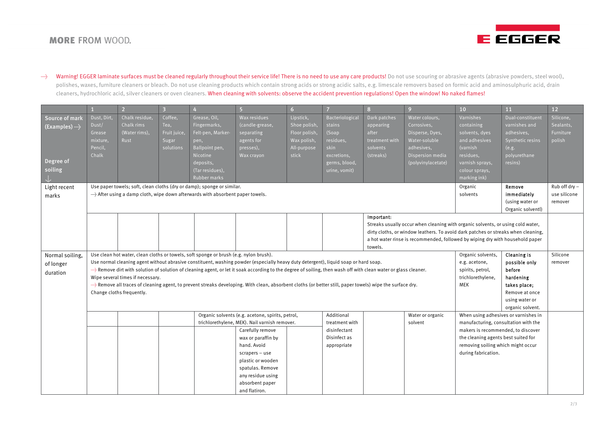### **MORE FROM WOOD.**



→ Warning! EGGER laminate surfaces must be cleaned regularly throughout their service life! There is no need to use any care products! Do not use scouring or abrasive agents (abrasive powders, steel wool), polishes, waxes, furniture cleaners or bleach. Do not use cleaning products which contain strong acids or strong acidic salts, e.g. limescale removers based on formic acid and aminosulphuric acid, drain cleaners, hydrochloric acid, silver cleaners or oven cleaners. When cleaning with solvents: observe the accident prevention regulations! Open the window! No naked flames!

|                                                               |                                                                                                                                                                                                                                                                                                                                                                                                                                                                                                                                                                                                                                                                                                                                                                                                   | $\overline{2}$                                        | $\overline{3}$                                        |                                                                                                                                         | 5 <sub>5</sub>                                                                         | 6 <sup>1</sup>                                                                    | $\overline{7}$                                                                                           | 8 <sup>1</sup>                                                                | 9 <sup>°</sup>                                                                                                            | 10 <sup>°</sup>                                                                                                                          | 11                                                                                                      | 12                                                |
|---------------------------------------------------------------|---------------------------------------------------------------------------------------------------------------------------------------------------------------------------------------------------------------------------------------------------------------------------------------------------------------------------------------------------------------------------------------------------------------------------------------------------------------------------------------------------------------------------------------------------------------------------------------------------------------------------------------------------------------------------------------------------------------------------------------------------------------------------------------------------|-------------------------------------------------------|-------------------------------------------------------|-----------------------------------------------------------------------------------------------------------------------------------------|----------------------------------------------------------------------------------------|-----------------------------------------------------------------------------------|----------------------------------------------------------------------------------------------------------|-------------------------------------------------------------------------------|---------------------------------------------------------------------------------------------------------------------------|------------------------------------------------------------------------------------------------------------------------------------------|---------------------------------------------------------------------------------------------------------|---------------------------------------------------|
| Source of mark<br>(Examples)  ><br>Degree of<br>soiling<br>J. | Dust, Dirt,<br>Dust/<br>Grease<br>mixture,<br>Pencil,<br>Chalk                                                                                                                                                                                                                                                                                                                                                                                                                                                                                                                                                                                                                                                                                                                                    | Chalk residue,<br>Chalk rims<br>(Water rims),<br>Rust | Coffee,<br>Tea,<br>Fruit juice,<br>Sugar<br>solutions | Grease, Oil,<br>Fingermarks,<br>Felt-pen, Marker-<br>pen,<br>Ballpoint pen,<br>Nicotine<br>deposits,<br>(Tar residues),<br>Rubber marks | Wax residues<br>(candle-grease,<br>separating<br>agents for<br>presses),<br>Wax crayon | Lipstick,<br>Shoe polish,<br>Floor polish,<br>Wax polish,<br>All-purpose<br>stick | Bacteriological<br>stains<br>(Soap<br>residues,<br>skin<br>excretions,<br>germs, blood,<br>urine, vomit) | Dark patches<br>appearing<br>after<br>treatment with<br>solvents<br>(streaks) | Water colours,<br>Corrosives,<br>Disperse, Dyes,<br>Water-soluble<br>adhesives,<br>Dispersion media<br>(polyvinylacetate) | Varnishes<br>containing<br>solvents, dyes<br>and adhesives<br>(varnish<br>residues,<br>varnish sprays,<br>colour sprays,<br>marking ink) | Dual-constituent<br>varnishes and<br>adhesives,<br>Synthetic resins<br>(e.g.<br>polyurethane<br>resins) | Silicone,<br>Sealants,<br>Furniture<br>polish     |
| Light recent<br>marks                                         | Use paper towels; soft, clean cloths (dry or damp); sponge or similar.<br>Organic<br>Remove<br>solvents<br>immediately<br>(using water or                                                                                                                                                                                                                                                                                                                                                                                                                                                                                                                                                                                                                                                         |                                                       |                                                       |                                                                                                                                         |                                                                                        |                                                                                   |                                                                                                          |                                                                               |                                                                                                                           |                                                                                                                                          | Organic solventl)                                                                                       | Rub off $\text{dry}$ -<br>use silicone<br>remover |
|                                                               | Important:<br>Streaks usually occur when cleaning with organic solvents, or using cold water,<br>dirty cloths, or window leathers. To avoid dark patches or streaks when cleaning,<br>a hot water rinse is recommended, followed by wiping dry with household paper<br>towels.                                                                                                                                                                                                                                                                                                                                                                                                                                                                                                                    |                                                       |                                                       |                                                                                                                                         |                                                                                        |                                                                                   |                                                                                                          |                                                                               |                                                                                                                           |                                                                                                                                          |                                                                                                         |                                                   |
| Normal soiling,<br>of longer<br>duration                      | Organic solvents,<br>Cleaning is<br>Use clean hot water, clean cloths or towels, soft sponge or brush (e.g. nylon brush).<br>Use normal cleaning agent without abrasive constituent, washing powder (especially heavy duty detergent), liquid soap or hard soap.<br>e.g. acetone,<br>$\rightarrow$ Remove dirt with solution of solution of cleaning agent, or let it soak according to the degree of soiling, then wash off with clean water or glass cleaner.<br>spirits, petrol,<br>before<br>Wipe several times if necessary.<br>trichlorethylene,<br>hardening<br>->>>>>>> Remove all traces of cleaning agent, to prevent streaks developing. With clean, absorbent cloths (or better still, paper towels) wipe the surface dry.<br><b>MEK</b><br>takes place;<br>Change cloths frequently. |                                                       |                                                       |                                                                                                                                         |                                                                                        |                                                                                   |                                                                                                          |                                                                               |                                                                                                                           | possible only<br>Remove at once<br>using water or<br>organic solvent.                                                                    | Silicone<br>remover                                                                                     |                                                   |
|                                                               | When using adhesives or varnishes in<br>Organic solvents (e.g. acetone, spirits, petrol,<br>Additional<br>Water or organic<br>trichlorethylene, MEK). Nail varnish remover.<br>treatment with<br>manufacturing, consultation with the<br>solvent<br>Carefully remove<br>makers is recommended, to discover<br>disinfectant<br>Disinfect as<br>the cleaning agents best suited for<br>wax or paraffin by<br>hand. Avoid<br>removing soiling which might occur<br>appropriate<br>during fabrication.<br>scrapers - use<br>plastic or wooden<br>spatulas. Remove<br>any residue using<br>absorbent paper<br>and flatiron.                                                                                                                                                                            |                                                       |                                                       |                                                                                                                                         |                                                                                        |                                                                                   |                                                                                                          |                                                                               |                                                                                                                           |                                                                                                                                          |                                                                                                         |                                                   |